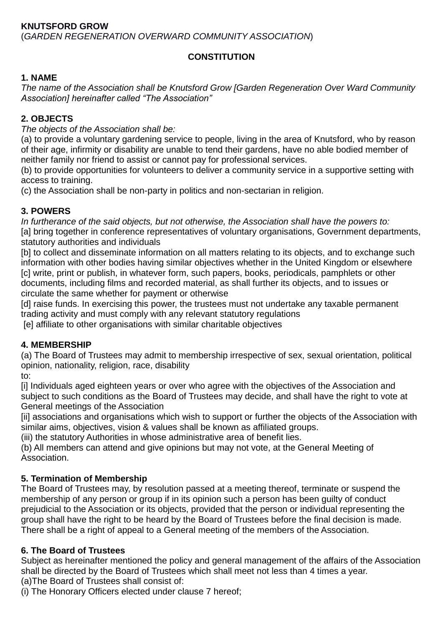### **CONSTITUTION**

### **1. NAME**

*The name of the Association shall be Knutsford Grow [Garden Regeneration Over Ward Community Association] hereinafter called "The Association"*

### **2. OBJECTS**

*The objects of the Association shall be:*

(a) to provide a voluntary gardening service to people, living in the area of Knutsford, who by reason of their age, infirmity or disability are unable to tend their gardens, have no able bodied member of neither family nor friend to assist or cannot pay for professional services.

(b) to provide opportunities for volunteers to deliver a community service in a supportive setting with access to training.

(c) the Association shall be non-party in politics and non-sectarian in religion.

### **3. POWERS**

*In furtherance of the said objects, but not otherwise, the Association shall have the powers to:* [a] bring together in conference representatives of voluntary organisations, Government departments, statutory authorities and individuals

[b] to collect and disseminate information on all matters relating to its objects, and to exchange such information with other bodies having similar objectives whether in the United Kingdom or elsewhere [c] write, print or publish, in whatever form, such papers, books, periodicals, pamphlets or other documents, including films and recorded material, as shall further its objects, and to issues or circulate the same whether for payment or otherwise

[d] raise funds. In exercising this power, the trustees must not undertake any taxable permanent trading activity and must comply with any relevant statutory regulations

[e] affiliate to other organisations with similar charitable objectives

### **4. MEMBERSHIP**

(a) The Board of Trustees may admit to membership irrespective of sex, sexual orientation, political opinion, nationality, religion, race, disability

to:

[i] Individuals aged eighteen years or over who agree with the objectives of the Association and subject to such conditions as the Board of Trustees may decide, and shall have the right to vote at General meetings of the Association

[ii] associations and organisations which wish to support or further the objects of the Association with similar aims, objectives, vision & values shall be known as affiliated groups.

(iii) the statutory Authorities in whose administrative area of benefit lies.

(b) All members can attend and give opinions but may not vote, at the General Meeting of Association.

### **5. Termination of Membership**

The Board of Trustees may, by resolution passed at a meeting thereof, terminate or suspend the membership of any person or group if in its opinion such a person has been guilty of conduct prejudicial to the Association or its objects, provided that the person or individual representing the group shall have the right to be heard by the Board of Trustees before the final decision is made. There shall be a right of appeal to a General meeting of the members of the Association.

### **6. The Board of Trustees**

Subject as hereinafter mentioned the policy and general management of the affairs of the Association shall be directed by the Board of Trustees which shall meet not less than 4 times a year. (a)The Board of Trustees shall consist of:

(i) The Honorary Officers elected under clause 7 hereof;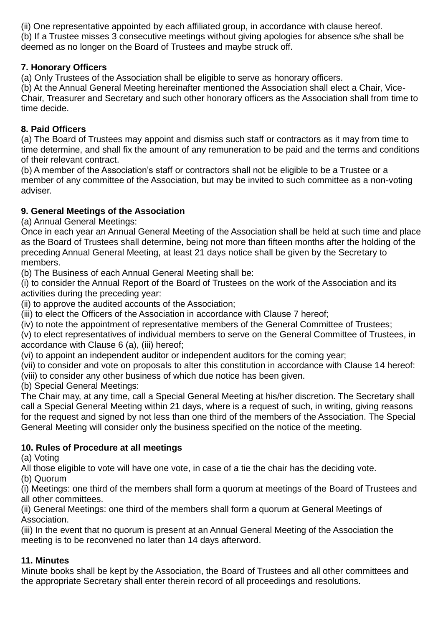(ii) One representative appointed by each affiliated group, in accordance with clause hereof. (b) If a Trustee misses 3 consecutive meetings without giving apologies for absence s/he shall be deemed as no longer on the Board of Trustees and maybe struck off.

### **7. Honorary Officers**

(a) Only Trustees of the Association shall be eligible to serve as honorary officers.

(b) At the Annual General Meeting hereinafter mentioned the Association shall elect a Chair, Vice-Chair, Treasurer and Secretary and such other honorary officers as the Association shall from time to time decide.

### **8. Paid Officers**

(a) The Board of Trustees may appoint and dismiss such staff or contractors as it may from time to time determine, and shall fix the amount of any remuneration to be paid and the terms and conditions of their relevant contract.

(b) A member of the Association's staff or contractors shall not be eligible to be a Trustee or a member of any committee of the Association, but may be invited to such committee as a non-voting adviser.

# **9. General Meetings of the Association**

(a) Annual General Meetings:

Once in each year an Annual General Meeting of the Association shall be held at such time and place as the Board of Trustees shall determine, being not more than fifteen months after the holding of the preceding Annual General Meeting, at least 21 days notice shall be given by the Secretary to members.

(b) The Business of each Annual General Meeting shall be:

(i) to consider the Annual Report of the Board of Trustees on the work of the Association and its activities during the preceding year:

(ii) to approve the audited accounts of the Association;

(iii) to elect the Officers of the Association in accordance with Clause 7 hereof;

(iv) to note the appointment of representative members of the General Committee of Trustees;

(v) to elect representatives of individual members to serve on the General Committee of Trustees, in accordance with Clause 6 (a), (iii) hereof;

(vi) to appoint an independent auditor or independent auditors for the coming year;

(vii) to consider and vote on proposals to alter this constitution in accordance with Clause 14 hereof:

(viii) to consider any other business of which due notice has been given.

(b) Special General Meetings:

The Chair may, at any time, call a Special General Meeting at his/her discretion. The Secretary shall call a Special General Meeting within 21 days, where is a request of such, in writing, giving reasons for the request and signed by not less than one third of the members of the Association. The Special General Meeting will consider only the business specified on the notice of the meeting.

## **10. Rules of Procedure at all meetings**

(a) Voting

All those eligible to vote will have one vote, in case of a tie the chair has the deciding vote.

(b) Quorum

(i) Meetings: one third of the members shall form a quorum at meetings of the Board of Trustees and all other committees.

(ii) General Meetings: one third of the members shall form a quorum at General Meetings of Association.

(iii) In the event that no quorum is present at an Annual General Meeting of the Association the meeting is to be reconvened no later than 14 days afterword.

## **11. Minutes**

Minute books shall be kept by the Association, the Board of Trustees and all other committees and the appropriate Secretary shall enter therein record of all proceedings and resolutions.